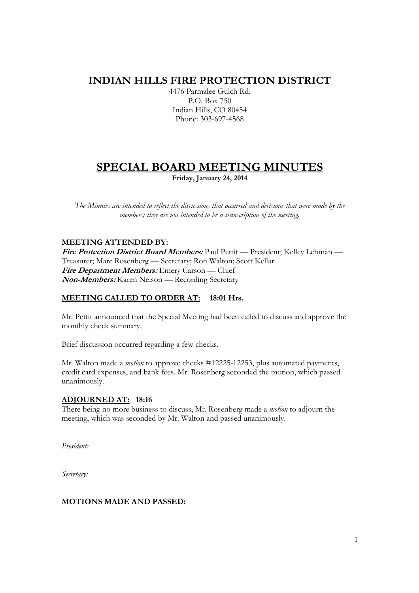# **INDIAN HILLS FIRE PROTECTION DISTRICT**

4476 Parmalee Gulch Rd. P.O. Box 750 Indian Hills, CO 80454 Phone: 303-697-4568

# **SPECIAL BOARD MEETING MINUTES**

**Friday, January 24, 2014** 

*The Minutes are intended to reflect the discussions that occurred and decisions that were made by the members; they are not intended to be a transcription of the meeting.* 

### **MEETING ATTENDED BY:**

**Fire Protection District Board Members:** Paul Pettit — President; Kelley Lehman — Treasurer; Marc Rosenberg — Secretary; Ron Walton; Scott Kellar **Fire Department Members:** Emery Carson — Chief **Non-Members:** Karen Nelson — Recording Secretary

## **MEETING CALLED TO ORDER AT: 18:01 Hrs.**

Mr. Pettit announced that the Special Meeting had been called to discuss and approve the monthly check summary.

Brief discussion occurred regarding a few checks.

Mr. Walton made a *motion* to approve checks #12225-12253, plus automated payments, credit card expenses, and bank fees. Mr. Rosenberg seconded the motion, which passed unanimously.

#### **ADJOURNED AT: 18:16**

There being no more business to discuss, Mr. Rosenberg made a *motion* to adjourn the meeting, which was seconded by Mr. Walton and passed unanimously.

*President:* 

*Secretary:* 

#### **MOTIONS MADE AND PASSED:**